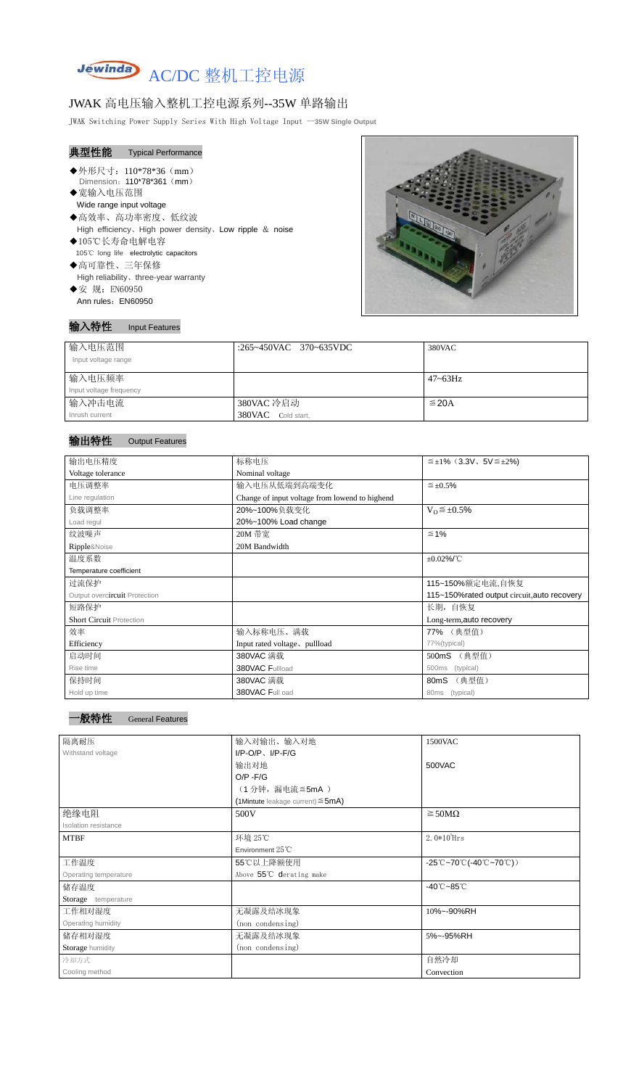

# JWAK 高电压输入整机工控电源系列--35W 单路输出

JWAK Switching Power Supply Series With High Voltage Input --**35W Single Output**

| 典型性能 Typical Performance |                                                           |
|--------------------------|-----------------------------------------------------------|
| ◆外形尺寸: 110*78*36 (mm)    |                                                           |
|                          | Dimension: 110*78*361 (mm)                                |
| ◆宽输入电压范围                 |                                                           |
| Wide range input voltage |                                                           |
| ◆高效率、高功率密度、低纹波           |                                                           |
|                          | High efficiency, High power density, Low ripple $&$ noise |
| ◆105℃长寿命电解电容             |                                                           |
|                          | 105°C long life electrolytic capacitors                   |
| ◆高可靠性、三年保修               |                                                           |
|                          | High reliability, three-year warranty                     |
| ◆安 规: EN60950            |                                                           |
| Ann rules: EN60950       |                                                           |



#### 输入特性 Input Features

# 输出特性 Output Features

| 输入电压范围<br>Input voltage range | :265~450VAC 370~635VDC | 380VAC       |
|-------------------------------|------------------------|--------------|
| 输入电压频率                        |                        | $47 - 63$ Hz |
| Input voltage frequency       |                        |              |
| 输入冲击电流                        | 380VAC 冷启动             | $\leq$ 20A   |
| Inrush current                | 380VAC Cold start,     |              |

| 输出电压精度                          | 标称电压                                           | $\leq \pm 1\%$ (3.3V, 5V $\leq \pm 2\%$ ) |  |
|---------------------------------|------------------------------------------------|-------------------------------------------|--|
| Voltage tolerance               | Nominal voltage                                |                                           |  |
| 电压调整率                           | $\leq \pm 0.5\%$<br>输入电压从低端到高端变化               |                                           |  |
| Line regulation                 | Change of input voltage from lowend to highend |                                           |  |
| 负载调整率                           | 20%~100%负载变化<br>$V_0 \leq \pm 0.5\%$           |                                           |  |
| Load regul                      | 20%~100% Load change                           |                                           |  |
| 纹波噪声                            | 20M 带宽                                         | $\leq 1\%$                                |  |
| Ripple&Noise                    | 20M Bandwidth                                  |                                           |  |
| 温度系数                            |                                                | $\pm 0.02\%$ /°C                          |  |
| Temperature coefficient         |                                                |                                           |  |
| 过流保护                            |                                                | 115~150%额定电流,自恢复                          |  |
| Output overcircuit Protection   | 115~150% rated output circuit, auto recovery   |                                           |  |
| 短路保护                            | 长期, 自恢复                                        |                                           |  |
| <b>Short Circuit Protection</b> |                                                | Long-term, auto recovery                  |  |
| 效率                              | 输入标称电压、满载                                      | 77% (典型值)                                 |  |
| Efficiency                      | Input rated voltage, pullload                  | 77%(typical)                              |  |
| 启动时间                            | 380VAC 满载                                      | (典型值)<br>500mS                            |  |
| Rise time                       | 380VAC Fullload<br>(typical)<br>500ms          |                                           |  |
| 保持时间                            | 380VAC 满载                                      | (典型值)<br>80 <sub>m</sub> S                |  |
| Hold up time                    | 380VAC Full oad                                | 80ms (typical)                            |  |

-般特性 General Features

| 隔离耐压                  | 输入对输出、输入对地                                | 1500VAC                                                                                |
|-----------------------|-------------------------------------------|----------------------------------------------------------------------------------------|
| Withstand voltage     | $I/P-O/P$ , $I/P-F/G$                     |                                                                                        |
|                       | 输出对地                                      | 500VAC                                                                                 |
|                       | $O/P - F/G$                               |                                                                                        |
|                       | (1分钟,漏电流≦5mA)                             |                                                                                        |
|                       | $(1$ Mintute leakage current) $\leq$ 5mA) |                                                                                        |
| 绝缘电阻                  | 500V                                      | $\geq$ 50M $\Omega$                                                                    |
| Isolation resistance  |                                           |                                                                                        |
| <b>MTBF</b>           | 环境 25℃                                    | $2.0*105$ Hrs                                                                          |
|                       | Environment $25^{\circ}$ C                |                                                                                        |
| 工作温度                  | 55℃以上降额使用                                 | $-25^{\circ}\text{C}-70^{\circ}\text{C}$ (-40 $^{\circ}\text{C}-70^{\circ}\text{C}$ )) |
| Operating temperature | Above 55°C derating make                  |                                                                                        |
| 储存温度                  |                                           | $-40^{\circ}$ C $-85^{\circ}$ C                                                        |
| Storage temperature   |                                           |                                                                                        |
| 工作相对湿度                | 无凝露及结冰现象                                  | 10%~-90%RH                                                                             |
| Operating humidity    | (non condensing)                          |                                                                                        |
| 储存相对湿度                | 无凝露及结冰现象                                  | 5%~-95%RH                                                                              |
| Storage humidity      | (non condensing)                          |                                                                                        |
| 冷却方式                  |                                           | 自然冷却                                                                                   |
| Cooling method        |                                           | Convection                                                                             |